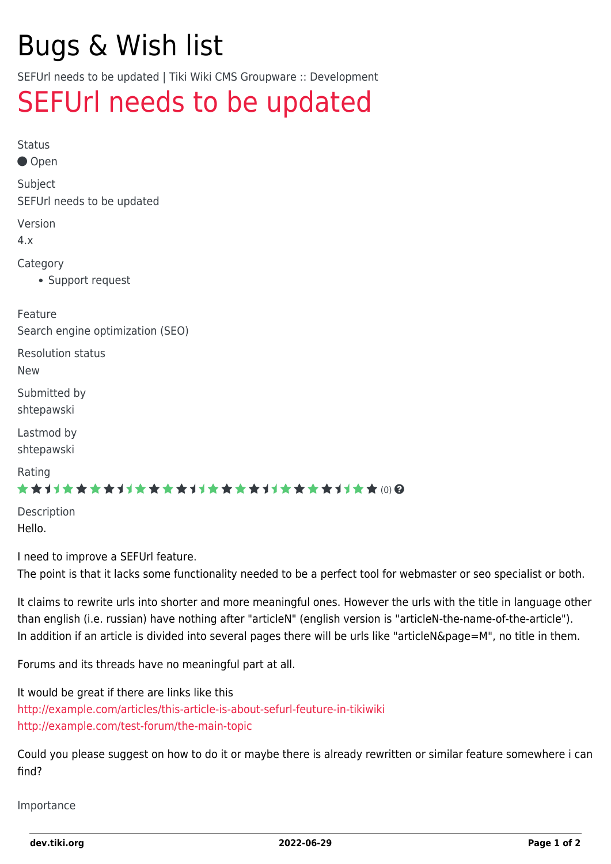# Bugs & Wish list

SEFUrl needs to be updated | Tiki Wiki CMS Groupware :: Development

## [SEFUrl needs to be updated](https://dev.tiki.org/item3060-SEFUrl-needs-to-be-updated)

Status Open Subject SEFUrl needs to be updated Version 4.x Category Support request Feature Search engine optimization (SEO) Resolution status New Submitted by shtepawski Lastmod by shtepawski Rating \*\*\*\*\*\*\*\*\*\*\*\*\*\*\*\*\*\*\*\*\*\*\*\*\*\*\*\*\*\* Description

I need to improve a SEFUrl feature.

Hello.

The point is that it lacks some functionality needed to be a perfect tool for webmaster or seo specialist or both.

It claims to rewrite urls into shorter and more meaningful ones. However the urls with the title in language other than english (i.e. russian) have nothing after "articleN" (english version is "articleN-the-name-of-the-article"). In addition if an article is divided into several pages there will be urls like "articleN&page=M", no title in them.

Forums and its threads have no meaningful part at all.

It would be great if there are links like this <http://example.com/articles/this-article-is-about-sefurl-feuture-in-tikiwiki> <http://example.com/test-forum/the-main-topic>

Could you please suggest on how to do it or maybe there is already rewritten or similar feature somewhere i can find?

Importance